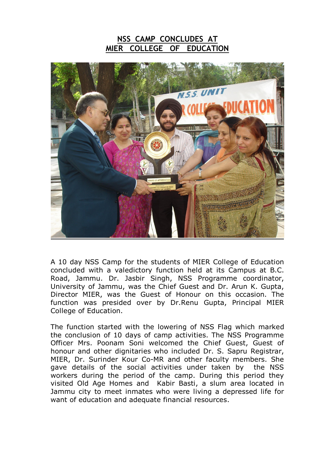## **NSS CAMP CONCLUDES AT MIER COLLEGE OF EDUCATION**



A 10 day NSS Camp for the students of MIER College of Education concluded with a valedictory function held at its Campus at B.C. Road, Jammu. Dr. Jasbir Singh, NSS Programme coordinator, University of Jammu, was the Chief Guest and Dr. Arun K. Gupta, Director MIER, was the Guest of Honour on this occasion. The function was presided over by Dr.Renu Gupta, Principal MIER College of Education.

The function started with the lowering of NSS Flag which marked the conclusion of 10 days of camp activities. The NSS Programme Officer Mrs. Poonam Soni welcomed the Chief Guest, Guest of honour and other dignitaries who included Dr. S. Sapru Registrar, MIER, Dr. Surinder Kour Co-MR and other faculty members. She gave details of the social activities under taken by the NSS workers during the period of the camp. During this period they visited Old Age Homes and Kabir Basti, a slum area located in Jammu city to meet inmates who were living a depressed life for want of education and adequate financial resources.